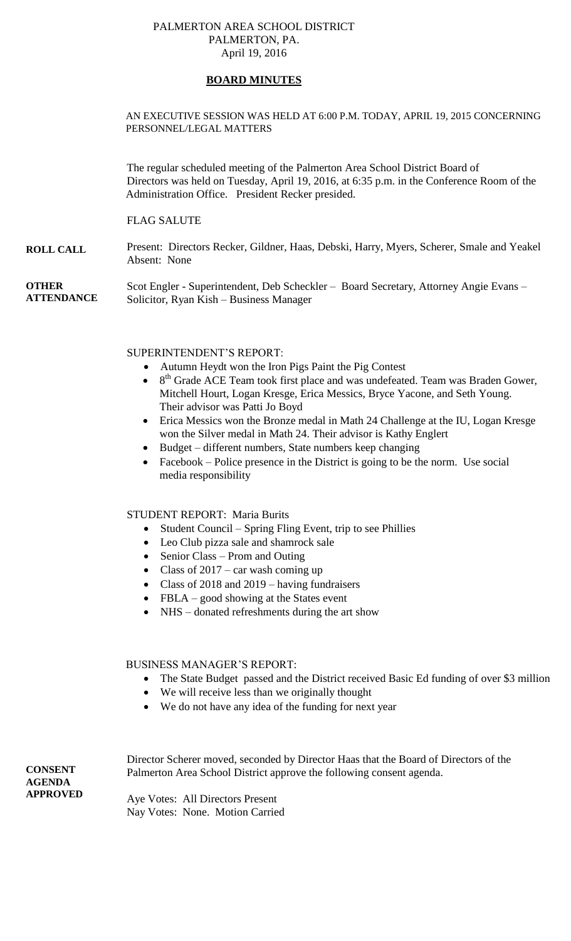### PALMERTON AREA SCHOOL DISTRICT PALMERTON, PA. April 19, 2016

## **BOARD MINUTES**

### AN EXECUTIVE SESSION WAS HELD AT 6:00 P.M. TODAY, APRIL 19, 2015 CONCERNING PERSONNEL/LEGAL MATTERS

The regular scheduled meeting of the Palmerton Area School District Board of Directors was held on Tuesday, April 19, 2016, at 6:35 p.m. in the Conference Room of the Administration Office. President Recker presided.

### FLAG SALUTE

**ROLL CALL** Present: Directors Recker, Gildner, Haas, Debski, Harry, Myers, Scherer, Smale and Yeakel Absent: None

**OTHER ATTENDANCE** Scot Engler - Superintendent, Deb Scheckler – Board Secretary, Attorney Angie Evans – Solicitor, Ryan Kish – Business Manager

SUPERINTENDENT'S REPORT:

- Autumn Heydt won the Iron Pigs Paint the Pig Contest
- $\bullet$  8<sup>th</sup> Grade ACE Team took first place and was undefeated. Team was Braden Gower, Mitchell Hourt, Logan Kresge, Erica Messics, Bryce Yacone, and Seth Young. Their advisor was Patti Jo Boyd
- Erica Messics won the Bronze medal in Math 24 Challenge at the IU, Logan Kresge won the Silver medal in Math 24. Their advisor is Kathy Englert
- Budget different numbers, State numbers keep changing
- Facebook Police presence in the District is going to be the norm. Use social media responsibility

## STUDENT REPORT: Maria Burits

- $\bullet$  Student Council Spring Fling Event, trip to see Phillies
- Leo Club pizza sale and shamrock sale
- Senior Class Prom and Outing
- Class of  $2017 \text{car}$  wash coming up
- Class of 2018 and 2019 having fundraisers
- FBLA good showing at the States event
- NHS donated refreshments during the art show

#### BUSINESS MANAGER'S REPORT:

- The State Budget passed and the District received Basic Ed funding of over \$3 million
- We will receive less than we originally thought
- We do not have any idea of the funding for next year

**CONSENT AGENDA APPROVED** Director Scherer moved, seconded by Director Haas that the Board of Directors of the Palmerton Area School District approve the following consent agenda. Aye Votes: All Directors Present

Nay Votes: None. Motion Carried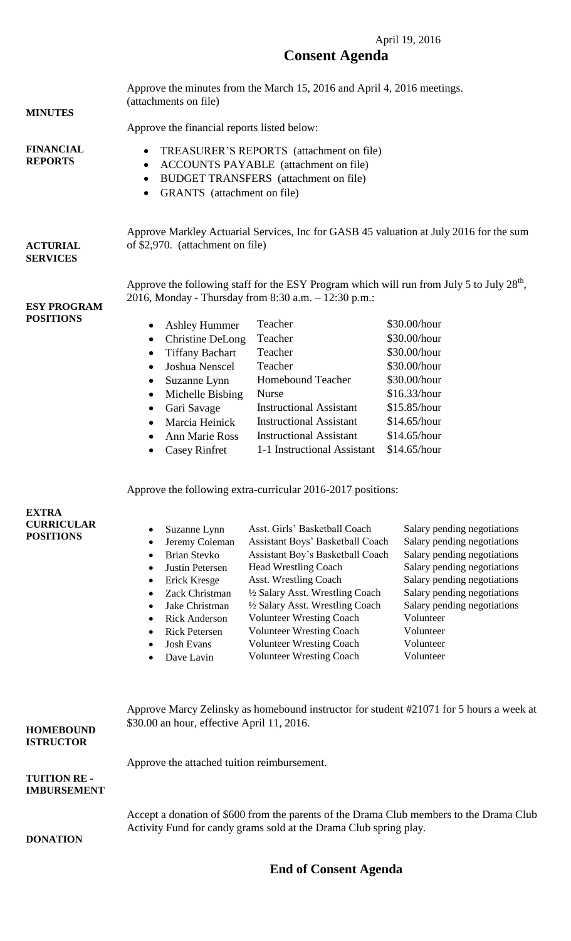## April 19, 2016 **Consent Agenda**

| <b>MINUTES</b><br><b>FINANCIAL</b><br><b>REPORTS</b>                             | Approve the minutes from the March 15, 2016 and April 4, 2016 meetings.<br>(attachments on file)<br>Approve the financial reports listed below:<br>TREASURER'S REPORTS (attachment on file)<br>$\bullet$<br>ACCOUNTS PAYABLE (attachment on file)<br>$\bullet$<br>BUDGET TRANSFERS (attachment on file)<br>$\bullet$<br>GRANTS (attachment on file)<br>$\bullet$ |                                                                                                                                                                                                                                                                                                                                                                                                                                                  |                                                                                                                                                                                                                                                                           |
|----------------------------------------------------------------------------------|------------------------------------------------------------------------------------------------------------------------------------------------------------------------------------------------------------------------------------------------------------------------------------------------------------------------------------------------------------------|--------------------------------------------------------------------------------------------------------------------------------------------------------------------------------------------------------------------------------------------------------------------------------------------------------------------------------------------------------------------------------------------------------------------------------------------------|---------------------------------------------------------------------------------------------------------------------------------------------------------------------------------------------------------------------------------------------------------------------------|
| <b>ACTURIAL</b><br><b>SERVICES</b>                                               | Approve Markley Actuarial Services, Inc for GASB 45 valuation at July 2016 for the sum<br>of \$2,970. (attachment on file)                                                                                                                                                                                                                                       |                                                                                                                                                                                                                                                                                                                                                                                                                                                  |                                                                                                                                                                                                                                                                           |
| <b>ESY PROGRAM</b><br><b>POSITIONS</b>                                           | <b>Ashley Hummer</b><br>$\bullet$<br>Christine DeLong<br>$\bullet$<br><b>Tiffany Bachart</b><br>$\bullet$<br>Joshua Nenscel<br>$\bullet$<br>Suzanne Lynn<br>$\bullet$<br>Michelle Bisbing<br>$\bullet$<br>Gari Savage<br>$\bullet$<br>Marcia Heinick<br>$\bullet$<br><b>Ann Marie Ross</b><br><b>Casey Rinfret</b><br>٠                                          | 2016, Monday - Thursday from 8:30 a.m. - 12:30 p.m.:<br>Teacher<br>Teacher<br>Teacher<br>Teacher<br>Homebound Teacher<br><b>Nurse</b><br><b>Instructional Assistant</b><br><b>Instructional Assistant</b><br><b>Instructional Assistant</b><br>1-1 Instructional Assistant                                                                                                                                                                       | Approve the following staff for the ESY Program which will run from July 5 to July $28th$ ,<br>\$30.00/hour<br>\$30.00/hour<br>\$30.00/hour<br>\$30.00/hour<br>\$30.00/hour<br>\$16.33/hour<br>\$15.85/hour<br>\$14.65/hour<br>\$14.65/hour<br>\$14.65/hour               |
| <b>EXTRA</b><br><b>CURRICULAR</b><br><b>POSITIONS</b>                            | Suzanne Lynn<br>٠<br>Jeremy Coleman<br>٠<br><b>Brian Stevko</b><br>$\bullet$<br>Justin Petersen<br>$\bullet$<br>Erick Kresge<br>٠<br>Zack Christman<br>$\bullet$<br>Jake Christman<br>$\bullet$<br><b>Rick Anderson</b><br>$\bullet$<br><b>Rick Petersen</b><br>$\bullet$<br><b>Josh Evans</b><br>$\bullet$<br>Dave Lavin<br>$\bullet$                           | Approve the following extra-curricular 2016-2017 positions:<br>Asst. Girls' Basketball Coach<br>Assistant Boys' Basketball Coach<br>Assistant Boy's Basketball Coach<br><b>Head Wrestling Coach</b><br>Asst. Wrestling Coach<br>1/2 Salary Asst. Wrestling Coach<br>1/2 Salary Asst. Wrestling Coach<br><b>Volunteer Wresting Coach</b><br><b>Volunteer Wresting Coach</b><br><b>Volunteer Wresting Coach</b><br><b>Volunteer Wresting Coach</b> | Salary pending negotiations<br>Salary pending negotiations<br>Salary pending negotiations<br>Salary pending negotiations<br>Salary pending negotiations<br>Salary pending negotiations<br>Salary pending negotiations<br>Volunteer<br>Volunteer<br>Volunteer<br>Volunteer |
| <b>HOMEBOUND</b><br><b>ISTRUCTOR</b><br><b>TUITION RE-</b><br><b>IMBURSEMENT</b> | Approve Marcy Zelinsky as homebound instructor for student #21071 for 5 hours a week at<br>\$30.00 an hour, effective April 11, 2016.<br>Approve the attached tuition reimbursement.                                                                                                                                                                             |                                                                                                                                                                                                                                                                                                                                                                                                                                                  |                                                                                                                                                                                                                                                                           |
| <b>DONATION</b>                                                                  | Accept a donation of \$600 from the parents of the Drama Club members to the Drama Club<br>Activity Fund for candy grams sold at the Drama Club spring play.                                                                                                                                                                                                     |                                                                                                                                                                                                                                                                                                                                                                                                                                                  |                                                                                                                                                                                                                                                                           |

# **End of Consent Agenda**